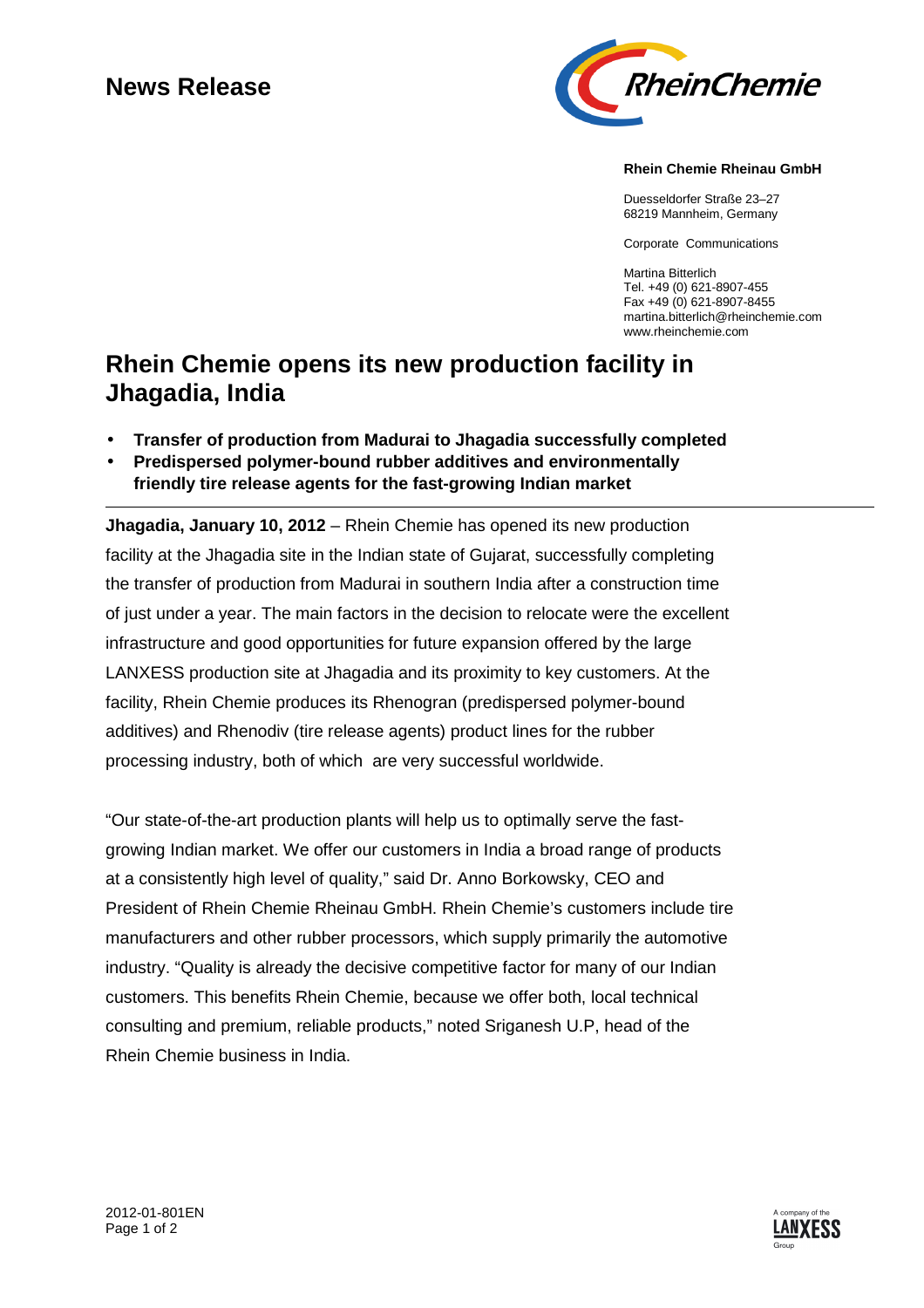# **News Release**



### **Rhein Chemie Rheinau GmbH**

Duesseldorfer Straße 23–27 68219 Mannheim, Germany

Corporate Communications

Martina Bitterlich Tel. +49 (0) 621-8907-455 Fax +49 (0) 621-8907-8455 martina.bitterlich@rheinchemie.com www.rheinchemie.com

## **Rhein Chemie opens its new production facility in Jhagadia, India**

- **Transfer of production from Madurai to Jhagadia successfully completed**
- **Predispersed polymer-bound rubber additives and environmentally friendly tire release agents for the fast-growing Indian market**

**Jhagadia, January 10, 2012** – Rhein Chemie has opened its new production facility at the Jhagadia site in the Indian state of Gujarat, successfully completing the transfer of production from Madurai in southern India after a construction time of just under a year. The main factors in the decision to relocate were the excellent infrastructure and good opportunities for future expansion offered by the large LANXESS production site at Jhagadia and its proximity to key customers. At the facility, Rhein Chemie produces its Rhenogran (predispersed polymer-bound additives) and Rhenodiv (tire release agents) product lines for the rubber processing industry, both of which are very successful worldwide.

"Our state-of-the-art production plants will help us to optimally serve the fastgrowing Indian market. We offer our customers in India a broad range of products at a consistently high level of quality," said Dr. Anno Borkowsky, CEO and President of Rhein Chemie Rheinau GmbH. Rhein Chemie's customers include tire manufacturers and other rubber processors, which supply primarily the automotive industry. "Quality is already the decisive competitive factor for many of our Indian customers. This benefits Rhein Chemie, because we offer both, local technical consulting and premium, reliable products," noted Sriganesh U.P, head of the Rhein Chemie business in India.